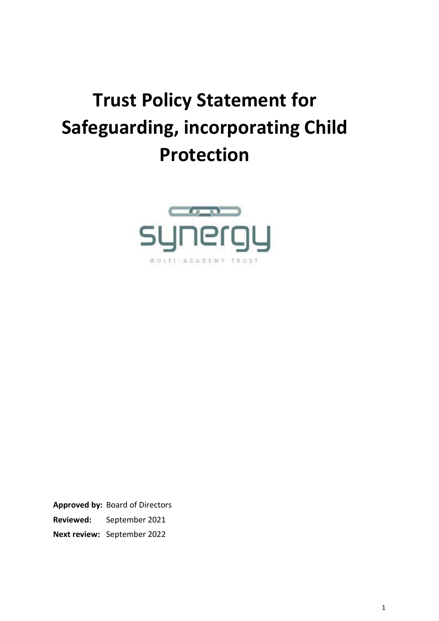# **Trust Policy Statement for Safeguarding, incorporating Child Protection**



**Approved by:** Board of Directors **Reviewed:** September 2021 **Next review:** September 2022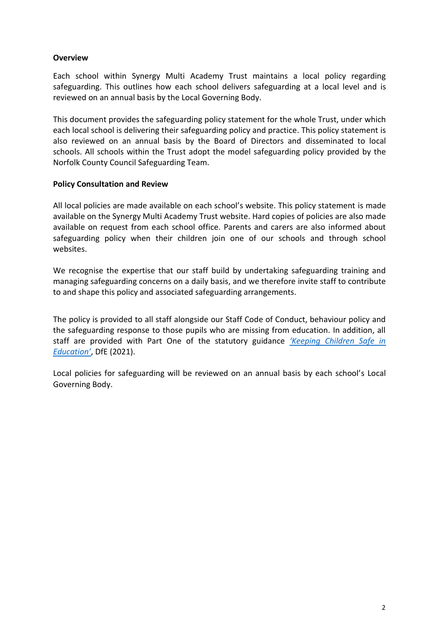#### **Overview**

Each school within Synergy Multi Academy Trust maintains a local policy regarding safeguarding. This outlines how each school delivers safeguarding at a local level and is reviewed on an annual basis by the Local Governing Body.

This document provides the safeguarding policy statement for the whole Trust, under which each local school is delivering their safeguarding policy and practice. This policy statement is also reviewed on an annual basis by the Board of Directors and disseminated to local schools. All schools within the Trust adopt the model safeguarding policy provided by the Norfolk County Council Safeguarding Team.

#### **Policy Consultation and Review**

All local policies are made available on each school's website. This policy statement is made available on the Synergy Multi Academy Trust website. Hard copies of policies are also made available on request from each school office. Parents and carers are also informed about safeguarding policy when their children join one of our schools and through school websites.

We recognise the expertise that our staff build by undertaking safeguarding training and managing safeguarding concerns on a daily basis, and we therefore invite staff to contribute to and shape this policy and associated safeguarding arrangements.

The policy is provided to all staff alongside our Staff Code of Conduct, behaviour policy and the safeguarding response to those pupils who are missing from education. In addition, all staff are provided with Part One of the statutory guidance *['Keeping Children Safe in](https://www.gov.uk/government/publications/keeping-children-safe-in-education--2)  [Education'](https://www.gov.uk/government/publications/keeping-children-safe-in-education--2)*, DfE (2021).

Local policies for safeguarding will be reviewed on an annual basis by each school's Local Governing Body.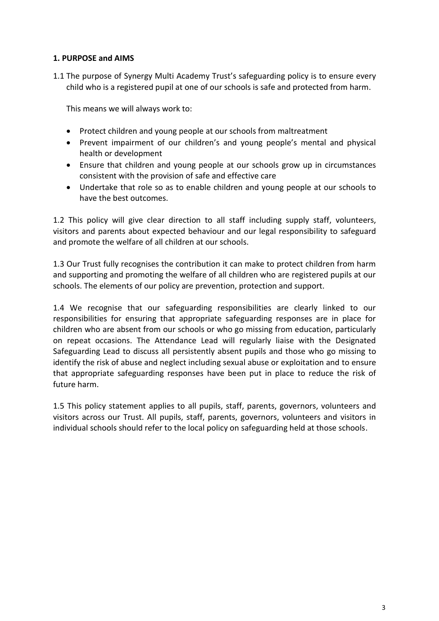### **1. PURPOSE and AIMS**

1.1 The purpose of Synergy Multi Academy Trust's safeguarding policy is to ensure every child who is a registered pupil at one of our schools is safe and protected from harm.

This means we will always work to:

- Protect children and young people at our schools from maltreatment
- Prevent impairment of our children's and young people's mental and physical health or development
- Ensure that children and young people at our schools grow up in circumstances consistent with the provision of safe and effective care
- Undertake that role so as to enable children and young people at our schools to have the best outcomes.

1.2 This policy will give clear direction to all staff including supply staff, volunteers, visitors and parents about expected behaviour and our legal responsibility to safeguard and promote the welfare of all children at our schools.

1.3 Our Trust fully recognises the contribution it can make to protect children from harm and supporting and promoting the welfare of all children who are registered pupils at our schools. The elements of our policy are prevention, protection and support.

1.4 We recognise that our safeguarding responsibilities are clearly linked to our responsibilities for ensuring that appropriate safeguarding responses are in place for children who are absent from our schools or who go missing from education, particularly on repeat occasions. The Attendance Lead will regularly liaise with the Designated Safeguarding Lead to discuss all persistently absent pupils and those who go missing to identify the risk of abuse and neglect including sexual abuse or exploitation and to ensure that appropriate safeguarding responses have been put in place to reduce the risk of future harm.

1.5 This policy statement applies to all pupils, staff, parents, governors, volunteers and visitors across our Trust. All pupils, staff, parents, governors, volunteers and visitors in individual schools should refer to the local policy on safeguarding held at those schools.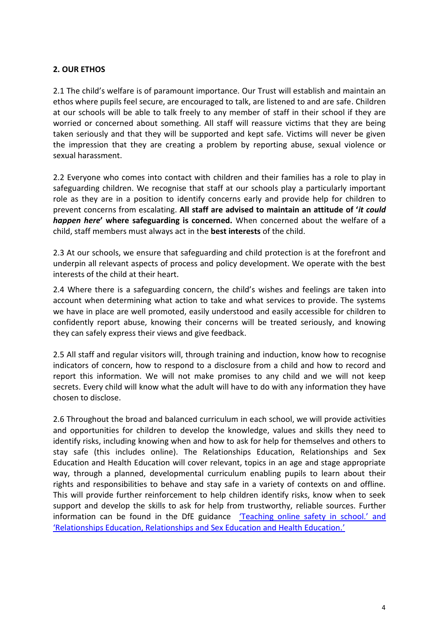## **2. OUR ETHOS**

2.1 The child's welfare is of paramount importance. Our Trust will establish and maintain an ethos where pupils feel secure, are encouraged to talk, are listened to and are safe. Children at our schools will be able to talk freely to any member of staff in their school if they are worried or concerned about something. All staff will reassure victims that they are being taken seriously and that they will be supported and kept safe. Victims will never be given the impression that they are creating a problem by reporting abuse, sexual violence or sexual harassment.

2.2 Everyone who comes into contact with children and their families has a role to play in safeguarding children. We recognise that staff at our schools play a particularly important role as they are in a position to identify concerns early and provide help for children to prevent concerns from escalating. **All staff are advised to maintain an attitude of '***it could happen here***' where safeguarding is concerned.** When concerned about the welfare of a child, staff members must always act in the **best interests** of the child.

2.3 At our schools, we ensure that safeguarding and child protection is at the forefront and underpin all relevant aspects of process and policy development. We operate with the best interests of the child at their heart.

2.4 Where there is a safeguarding concern, the child's wishes and feelings are taken into account when determining what action to take and what services to provide. The systems we have in place are well promoted, easily understood and easily accessible for children to confidently report abuse, knowing their concerns will be treated seriously, and knowing they can safely express their views and give feedback.

2.5 All staff and regular visitors will, through training and induction, know how to recognise indicators of concern, how to respond to a disclosure from a child and how to record and report this information. We will not make promises to any child and we will not keep secrets. Every child will know what the adult will have to do with any information they have chosen to disclose.

2.6 Throughout the broad and balanced curriculum in each school, we will provide activities and opportunities for children to develop the knowledge, values and skills they need to identify risks, including knowing when and how to ask for help for themselves and others to stay safe (this includes online). The Relationships Education, Relationships and Sex Education and Health Education will cover relevant, topics in an age and stage appropriate way, through a planned, developmental curriculum enabling pupils to learn about their rights and responsibilities to behave and stay safe in a variety of contexts on and offline. This will provide further reinforcement to help children identify risks, know when to seek support and develop the skills to ask for help from trustworthy, reliable sources. Further information can be found in the DfE guidance ['Teaching online safety in school.'](https://eur02.safelinks.protection.outlook.com/?url=https%3A%2F%2Fwww.gov.uk%2Fgovernment%2Fpublications%2Fteaching-online-safety-in-schools&data=04%7C01%7Clucy.canning%40norfolk.gov.uk%7C11813432630640e7421e08d946fee158%7C1419177e57e04f0faff0fd61b549d10e%7C0%7C0%7C637618882774063772%7CUnknown%7CTWFpbGZsb3d8eyJWIjoiMC4wLjAwMDAiLCJQIjoiV2luMzIiLCJBTiI6Ik1haWwiLCJXVCI6Mn0%3D%7C1000&sdata=a2veyRcU68QpbVQnKd2mEYenXhUqX%2FvR6LhxjVtRjRw%3D&reserved=0) and 'Relationships Education, Relationships and Sex Education and Health Education.'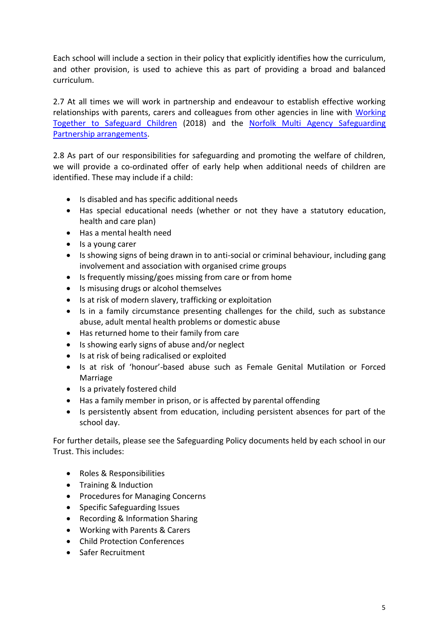Each school will include a section in their policy that explicitly identifies how the curriculum, and other provision, is used to achieve this as part of providing a broad and balanced curriculum.

2.7 At all times we will work in partnership and endeavour to establish effective working relationships with parents, carers and colleagues from other agencies in line with Working [Together to Safeguard Children](https://www.gov.uk/government/publications/working-together-to-safeguard-children--2) (2018) and the [Norfolk Multi Agency Safeguarding](https://www.norfolklscb.org/about/multi-agency-safeguarding-arrangements-masa-2019/)  [Partnership arrangements.](https://www.norfolklscb.org/about/multi-agency-safeguarding-arrangements-masa-2019/)

2.8 As part of our responsibilities for safeguarding and promoting the welfare of children, we will provide a co-ordinated offer of early help when additional needs of children are identified. These may include if a child:

- Is disabled and has specific additional needs
- Has special educational needs (whether or not they have a statutory education, health and care plan)
- Has a mental health need
- Is a young carer
- Is showing signs of being drawn in to anti-social or criminal behaviour, including gang involvement and association with organised crime groups
- Is frequently missing/goes missing from care or from home
- Is misusing drugs or alcohol themselves
- Is at risk of modern slavery, trafficking or exploitation
- Is in a family circumstance presenting challenges for the child, such as substance abuse, adult mental health problems or domestic abuse
- Has returned home to their family from care
- Is showing early signs of abuse and/or neglect
- Is at risk of being radicalised or exploited
- Is at risk of 'honour'-based abuse such as Female Genital Mutilation or Forced Marriage
- Is a privately fostered child
- Has a family member in prison, or is affected by parental offending
- Is persistently absent from education, including persistent absences for part of the school day.

For further details, please see the Safeguarding Policy documents held by each school in our Trust. This includes:

- Roles & Responsibilities
- Training & Induction
- Procedures for Managing Concerns
- Specific Safeguarding Issues
- Recording & Information Sharing
- Working with Parents & Carers
- Child Protection Conferences
- Safer Recruitment